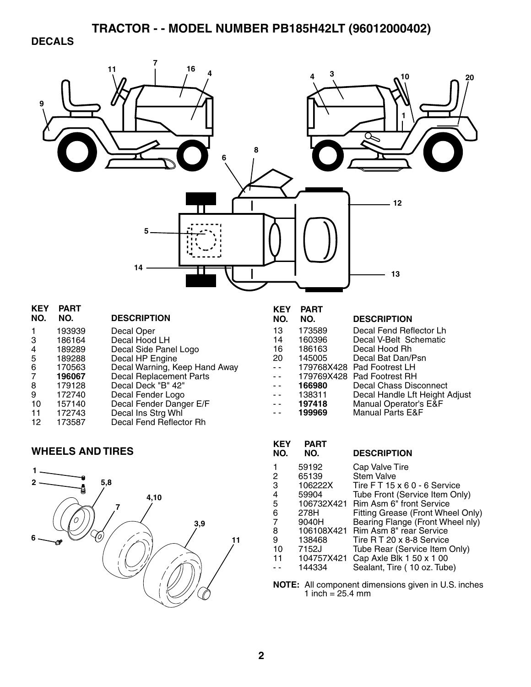## **DECALS**

| 9                                                                           |                                                                                                                                  | 16<br>11<br>8<br>5<br>14                                                                                                                                                                                                                                                         |                                                               | 3                                                                                                                                                | 10<br>20<br>12<br>13                                                                                                                                                                                                                                                                                                                                                                                                 |
|-----------------------------------------------------------------------------|----------------------------------------------------------------------------------------------------------------------------------|----------------------------------------------------------------------------------------------------------------------------------------------------------------------------------------------------------------------------------------------------------------------------------|---------------------------------------------------------------|--------------------------------------------------------------------------------------------------------------------------------------------------|----------------------------------------------------------------------------------------------------------------------------------------------------------------------------------------------------------------------------------------------------------------------------------------------------------------------------------------------------------------------------------------------------------------------|
| <b>KEY</b><br>NO.<br>1<br>3<br>4<br>5<br>6<br>7<br>8<br>9<br>10<br>11<br>12 | <b>PART</b><br>NO.<br>193939<br>186164<br>189289<br>189288<br>170563<br>196067<br>179128<br>172740<br>157140<br>172743<br>173587 | <b>DESCRIPTION</b><br>Decal Oper<br>Decal Hood LH<br>Decal Side Panel Logo<br>Decal HP Engine<br>Decal Warning, Keep Hand Away<br>Decal Replacement Parts<br>Decal Deck "B" 42"<br>Decal Fender Logo<br>Decal Fender Danger E/F<br>Decal Ins Strg Whl<br>Decal Fend Reflector Rh | <b>KEY</b><br>NO.<br>13<br>14<br>16<br>20<br>- -              | <b>PART</b><br>NO.<br>173589<br>160396<br>186163<br>145005<br>166980<br>138311<br>197418<br>199969                                               | <b>DESCRIPTION</b><br>Decal Fend Reflector Lh<br>Decal V-Belt Schematic<br>Decal Hood Rh<br>Decal Bat Dan/Psn<br>179768X428 Pad Footrest LH<br>179769X428 Pad Footrest RH<br>Decal Chass Disconnect<br>Decal Handle Lft Height Adjust<br>Manual Operator's E&F<br><b>Manual Parts E&amp;F</b>                                                                                                                        |
|                                                                             | <b>WHEELS AND TIRES</b>                                                                                                          |                                                                                                                                                                                                                                                                                  | <b>KEY</b><br>NO.                                             | <b>PART</b><br>NO.                                                                                                                               | <b>DESCRIPTION</b>                                                                                                                                                                                                                                                                                                                                                                                                   |
| 6                                                                           | 5,8<br>0                                                                                                                         | 4,10<br>3,9<br>11                                                                                                                                                                                                                                                                | 1<br>2<br>3<br>4<br>5<br>6<br>7<br>8<br>9<br>10<br>11<br>$ -$ | 59192<br>65139<br>106222X<br>59904<br>106732X421<br>278H<br>9040H<br>106108X421<br>138468<br>7152J<br>104757X421<br>144334<br>1 inch = $25.4$ mm | Cap Valve Tire<br><b>Stem Valve</b><br>Tire FT 15 x 6 0 - 6 Service<br>Tube Front (Service Item Only)<br>Rim Asm 6" front Service<br>Fitting Grease (Front Wheel Only)<br>Bearing Flange (Front Wheel nly)<br>Rim Asm 8" rear Service<br>Tire RT 20 x 8-8 Service<br>Tube Rear (Service Item Only)<br>Cap Axle Blk 1 50 x 1 00<br>Sealant, Tire (10 oz. Tube)<br>NOTE: All component dimensions given in U.S. inches |

**2**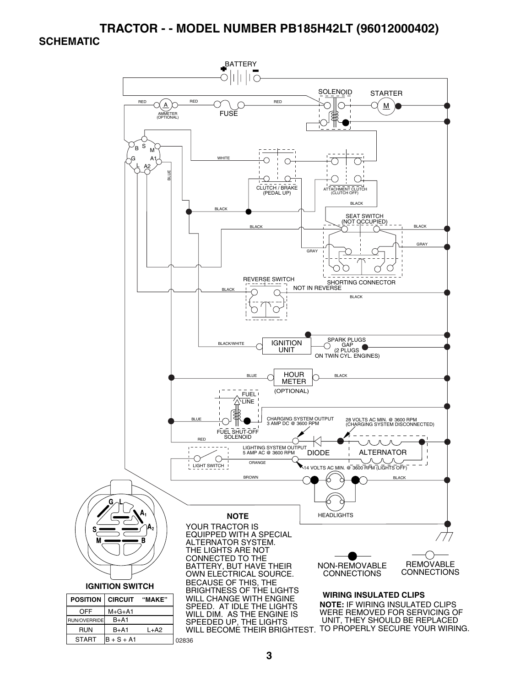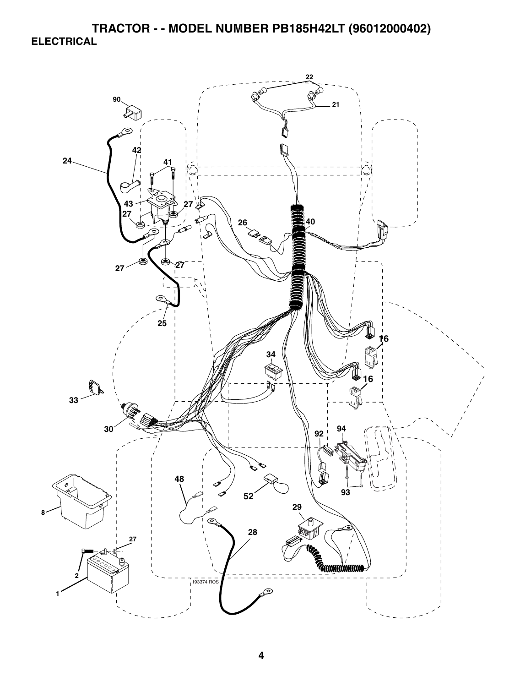**TRACTOR - - MODEL NUMBER PB185H42LT (96012000402) ELECTRICAL** 

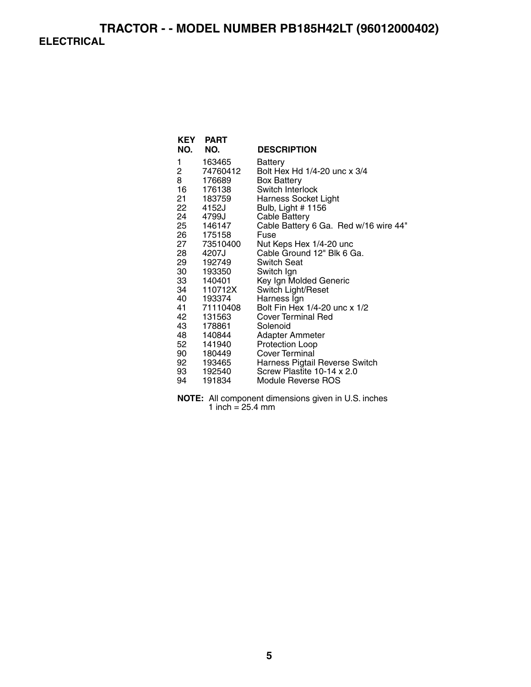# **TRACTOR - - MODEL NUMBER PB185H42LT (96012000402) ELECTRICAL**

| <b>KEY</b><br>NO. | <b>PART</b><br>NO.      | <b>DESCRIPTION</b>                                    |
|-------------------|-------------------------|-------------------------------------------------------|
|                   |                         |                                                       |
| 1                 | 163465                  | Battery                                               |
| 2                 | 74760412                | Bolt Hex Hd 1/4-20 unc x 3/4                          |
| 8                 | 176689                  | <b>Box Battery</b>                                    |
| 16                | 176138                  | Switch Interlock                                      |
|                   | 21 183759               | <b>Harness Socket Light</b>                           |
|                   | 22 4152J                | Bulb, Light # 1156                                    |
|                   | 24 4799J                | <b>Cable Battery</b>                                  |
|                   | 25 146147               | Cable Battery 6 Ga. Red w/16 wire 44"                 |
|                   | 26 175158               | Fuse                                                  |
|                   | 27 73510400             | Nut Keps Hex 1/4-20 unc<br>Cable Ground 12" Blk 6 Ga. |
|                   | 28 4207J                | <b>Switch Seat</b>                                    |
|                   | 29 192749               | Switch Ign                                            |
|                   | 30 193350               | Key Ign Molded Generic                                |
|                   | 33 140401<br>34 110712X | Switch Light/Reset                                    |
|                   | 40 193374               | Harness Ign                                           |
|                   | 41 71110408             | Bolt Fin Hex 1/4-20 unc x 1/2                         |
| 42                | 131563                  | <b>Cover Terminal Red</b>                             |
| 43 —              | 178861                  | Solenoid                                              |
|                   | 48 140844               | Adapter Ammeter                                       |
| 52                | 141940                  | Protection Loop                                       |
|                   | 90 180449               | Cover Terminal                                        |
|                   | 92 193465               | Harness Pigtail Reverse Switch                        |
|                   | 93 192540               | Screw Plastite 10-14 x 2.0                            |
| 94                | 191834                  | Module Reverse ROS                                    |

**NOTE:** All component dimensions given in U.S. inches 1 inch  $= 25.4$  mm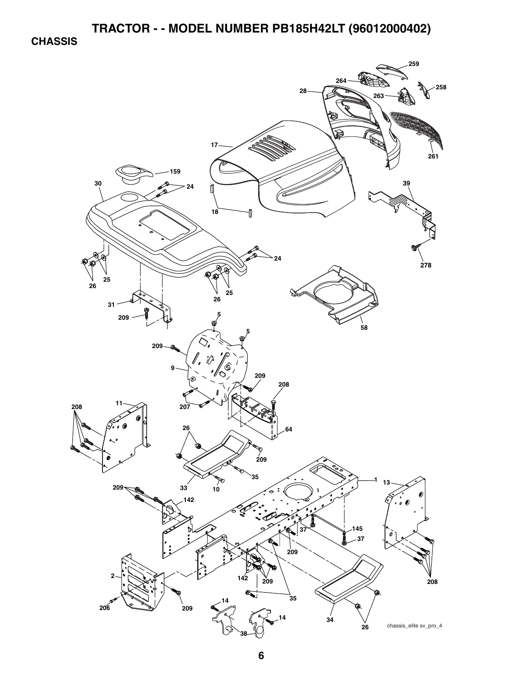**CHASSIS** 

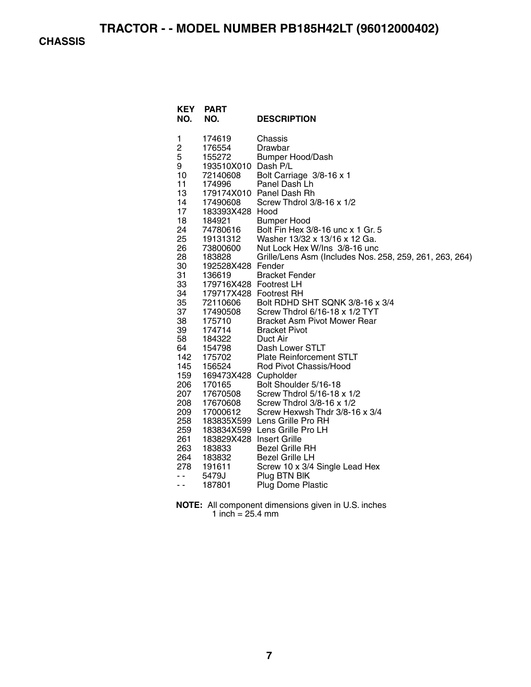**CHASSIS** 

| <b>KEY</b><br>NO. | <b>PART</b><br>NO.               | <b>DESCRIPTION</b>                                      |
|-------------------|----------------------------------|---------------------------------------------------------|
| 1                 | 174619                           | Chassis                                                 |
| 2                 | 176554                           | Drawbar                                                 |
| 5                 | 155272                           | <b>Bumper Hood/Dash</b>                                 |
| 9                 | 193510X010 Dash P/L              |                                                         |
| 10                | 72140608                         | Bolt Carriage 3/8-16 x 1                                |
| 11                | 174996                           | Panel Dash Lh                                           |
| 13                |                                  | 179174X010 Panel Dash Rh                                |
| 14                | 17490608                         | Screw Thdrol 3/8-16 x 1/2                               |
| 17                | 183393X428 Hood                  |                                                         |
| 18                | 184921                           | <b>Bumper Hood</b>                                      |
| 24                | 74780616<br><sup>1</sup> 9131312 | Bolt Fin Hex 3/8-16 unc x 1 Gr. 5                       |
| 25                | 19131312                         | Washer 13/32 x 13/16 x 12 Ga.                           |
| 26                | 73800600                         | Nut Lock Hex W/Ins 3/8-16 unc                           |
| 28                | 183828                           | Grille/Lens Asm (Includes Nos. 258, 259, 261, 263, 264) |
| 30                | 192528X428 Fender                |                                                         |
| 31                | 136619                           | <b>Bracket Fender</b>                                   |
| 33                | 179716X428 Footrest LH           |                                                         |
| 34                | 179717X428 Footrest RH           |                                                         |
| 35                | 72110606                         | Bolt RDHD SHT SQNK 3/8-16 x 3/4                         |
| 37                | 17490508                         | Screw Thdrol 6/16-18 x 1/2 TYT                          |
| 38                | 175710                           | <b>Bracket Asm Pivot Mower Rear</b>                     |
| 39                | 174714                           | <b>Bracket Pivot</b>                                    |
| 58<br>64          | 184322<br>154798                 | Duct Air<br>Dash Lower STLT                             |
| 142               | 175702                           | <b>Plate Reinforcement STLT</b>                         |
| 145               | 156524                           | Rod Pivot Chassis/Hood                                  |
| 159               | 169473X428 Cupholder             |                                                         |
| 206               | 170165                           | Bolt Shoulder 5/16-18                                   |
| 207               | 17670508                         | Screw Thdrol 5/16-18 x 1/2                              |
| 208               | 17670608                         | Screw Thdrol 3/8-16 x 1/2                               |
| 209               | 17000612                         | Screw Hexwsh Thdr 3/8-16 x 3/4                          |
| 258               |                                  | 183835X599 Lens Grille Pro RH                           |
| 259               |                                  | 183834X599 Lens Grille Pro LH                           |
| 261               | 183829X428 Insert Grille         |                                                         |
| 263               | 183833                           | <b>Bezel Grille RH</b>                                  |
| 264               | 183832                           | <b>Bezel Grille LH</b>                                  |
| 278               | 191611                           | Screw 10 x 3/4 Single Lead Hex                          |
| - -               | 5479J                            | Plug BTN BIK                                            |
| - -               | 187801                           | <b>Plug Dome Plastic</b>                                |
|                   |                                  |                                                         |

#### **NOTE:** All component dimensions given in U.S. inches 1 inch = 25.4 mm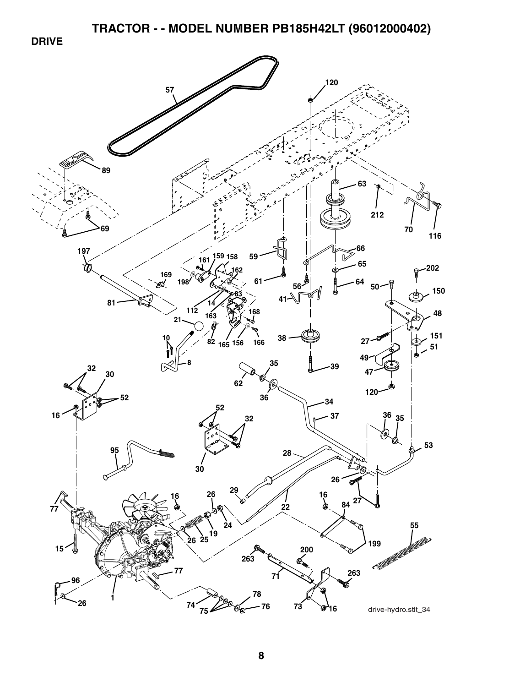**DRIVE** 

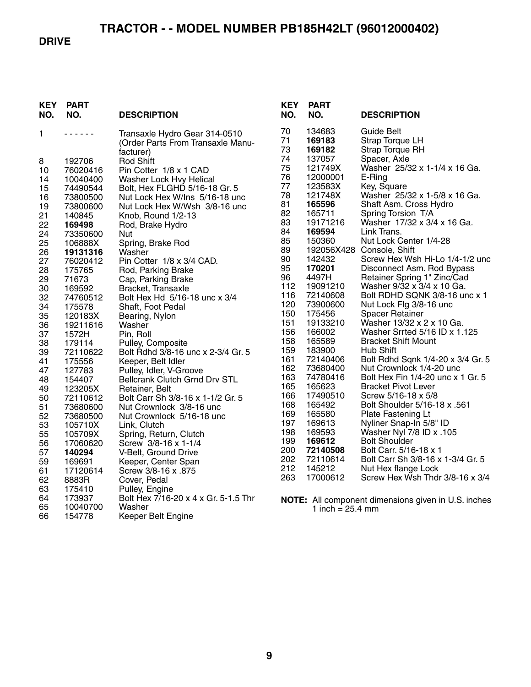#### **DRIVE**

| <b>KEY</b><br>NO. | PART<br>NO.      | <b>DESCRIPTION</b>                                                              |
|-------------------|------------------|---------------------------------------------------------------------------------|
| 1                 |                  | Transaxle Hydro Gear 314-0510<br>(Order Parts From Transaxle Manu-<br>facturer) |
| 8                 | 192706           | <b>Rod Shift</b>                                                                |
| 10                | 76020416         | Pin Cotter 1/8 x 1 CAD                                                          |
| 14                | 10040400         | Washer Lock Hvy Helical                                                         |
| 15                | 74490544         | Bolt, Hex FLGHD 5/16-18 Gr. 5                                                   |
| 16                | 73800500         | Nut Lock Hex W/Ins 5/16-18 unc                                                  |
| 19                | 73800600         | Nut Lock Hex W/Wsh 3/8-16 unc                                                   |
| 21                | 140845           | Knob, Round 1/2-13                                                              |
| 22                | 169498           | Rod, Brake Hydro                                                                |
| 24                | 73350600         | Nut                                                                             |
| 25                | 106888X          | Spring, Brake Rod                                                               |
| 26                | 19131316         | Washer                                                                          |
| 27                | 76020412         | Pin Cotter 1/8 x 3/4 CAD.                                                       |
| 28                | 175765           | Rod, Parking Brake                                                              |
| 29                | 71673            | Cap, Parking Brake                                                              |
| 30                | 169592           | Bracket, Transaxle                                                              |
| 32                | 74760512         | Bolt Hex Hd 5/16-18 unc x 3/4                                                   |
| 34                | 175578           | Shaft, Foot Pedal                                                               |
| 35                | 120183X          | Bearing, Nylon                                                                  |
| 36                | 19211616         | Washer                                                                          |
| 37                | 1572H            | Pin, Roll                                                                       |
| 38                | 179114           | Pulley, Composite                                                               |
| 39                | 72110622         | Bolt Rdhd 3/8-16 unc x 2-3/4 Gr. 5                                              |
| 41                | 175556           | Keeper, Belt Idler                                                              |
| 47                | 127783           | Pulley, Idler, V-Groove                                                         |
| 48                | 154407           | <b>Bellcrank Clutch Grnd Drv STL</b>                                            |
| 49                | 123205X          | Retainer, Belt                                                                  |
| 50                | 72110612         | Bolt Carr Sh 3/8-16 x 1-1/2 Gr. 5                                               |
| 51                | 73680600         | Nut Crownlock 3/8-16 unc                                                        |
| 52                | 73680500         | Nut Crownlock 5/16-18 unc                                                       |
| 53                | 105710X          | Link, Clutch                                                                    |
| 55                | 105709X          | Spring, Return, Clutch                                                          |
| 56                | 17060620         | Screw 3/8-16 x 1-1/4                                                            |
| 57                | 140294           | V-Belt, Ground Drive                                                            |
| 59                | 169691           | Keeper, Center Span                                                             |
| 61                | 17120614         | Screw 3/8-16 x .875                                                             |
| 62<br>63          | 8883R            | Cover, Pedal                                                                    |
| 64                | 175410<br>173937 | Pulley, Engine<br>Bolt Hex 7/16-20 x 4 x Gr. 5-1.5 Thr                          |
| 65                | 10040700         | Washer                                                                          |
| 66                | 154778           | Keeper Belt Engine                                                              |
|                   |                  |                                                                                 |

| KEY<br>NO.                                                                                                                                                                                                                                                   | <b>PART</b><br>NO.                                                                                                                                                                                                                                                                                                                                                                                                                 | <b>DESCRIPTION</b>                                                                                                                                                                                                                                                                                                                                                                                                                                                                                                                                                                                                                                                                                                                                                                                                                                                                                                                                                                                                                                                        |
|--------------------------------------------------------------------------------------------------------------------------------------------------------------------------------------------------------------------------------------------------------------|------------------------------------------------------------------------------------------------------------------------------------------------------------------------------------------------------------------------------------------------------------------------------------------------------------------------------------------------------------------------------------------------------------------------------------|---------------------------------------------------------------------------------------------------------------------------------------------------------------------------------------------------------------------------------------------------------------------------------------------------------------------------------------------------------------------------------------------------------------------------------------------------------------------------------------------------------------------------------------------------------------------------------------------------------------------------------------------------------------------------------------------------------------------------------------------------------------------------------------------------------------------------------------------------------------------------------------------------------------------------------------------------------------------------------------------------------------------------------------------------------------------------|
| 70<br>71<br>73<br>74<br>75<br>76<br>77<br>78<br>81<br>82<br>83<br>84<br>85<br>89<br>90<br>95<br>96<br>112<br>116<br>120<br>150<br>151<br>156<br>158<br>159<br>161<br>162<br>163<br>165<br>166<br>168<br>169<br>197<br>198<br>199<br>200<br>202<br>212<br>263 | 134683<br>169183<br>169182<br>137057<br>121749X<br>12000001<br>123583X<br>121748X<br>165596<br>165711<br>19171216<br>169594<br>150360<br>192056X428<br>142432<br>170201<br>4497H<br>19091210<br>72140608<br>73900600<br>175456<br>19133210<br>166002<br>165589<br>183900<br>72140406<br>73680400<br>74780416<br>165623<br>17490510<br>165492<br>165580<br>169613<br>169593<br>169612<br>72140508<br>72110614<br>145212<br>17000612 | Guide Belt<br><b>Strap Torque LH</b><br><b>Strap Torque RH</b><br>Spacer, Axle<br>Washer 25/32 x 1-1/4 x 16 Ga.<br>E-Ring<br>Key, Square<br>Washer 25/32 x 1-5/8 x 16 Ga.<br>Shaft Asm. Cross Hydro<br>Spring Torsion T/A<br>Washer 17/32 x 3/4 x 16 Ga.<br>Link Trans.<br>Nut Lock Center 1/4-28<br>Console, Shift<br>Screw Hex Wsh Hi-Lo 1/4-1/2 unc<br>Disconnect Asm. Rod Bypass<br>Retainer Spring 1" Zinc/Cad<br>Washer 9/32 x 3/4 x 10 Ga.<br>Bolt RDHD SQNK 3/8-16 unc x 1<br>Nut Lock Flg 3/8-16 unc<br><b>Spacer Retainer</b><br>Washer 13/32 x 2 x 10 Ga.<br>Washer Srrted 5/16 ID x 1.125<br><b>Bracket Shift Mount</b><br>Hub Shift<br>Bolt Rdhd Sqnk 1/4-20 x 3/4 Gr. 5<br>Nut Crownlock 1/4-20 unc<br>Bolt Hex Fin 1/4-20 unc x 1 Gr. 5<br><b>Bracket Pivot Lever</b><br>Screw 5/16-18 x 5/8<br>Bolt Shoulder 5/16-18 x .561<br>Plate Fastening Lt<br>Nyliner Snap-In 5/8" ID<br>105. Washer Nyl 7/8 ID x<br><b>Bolt Shoulder</b><br>Bolt Carr. 5/16-18 x 1<br>Bolt Carr Sh 3/8-16 x 1-3/4 Gr. 5<br>Nut Hex flange Lock<br>Screw Hex Wsh Thdr 3/8-16 x 3/4 |
|                                                                                                                                                                                                                                                              |                                                                                                                                                                                                                                                                                                                                                                                                                                    |                                                                                                                                                                                                                                                                                                                                                                                                                                                                                                                                                                                                                                                                                                                                                                                                                                                                                                                                                                                                                                                                           |

**NOTE:** All component dimensions given in U.S. inches 1 inch = 25.4 mm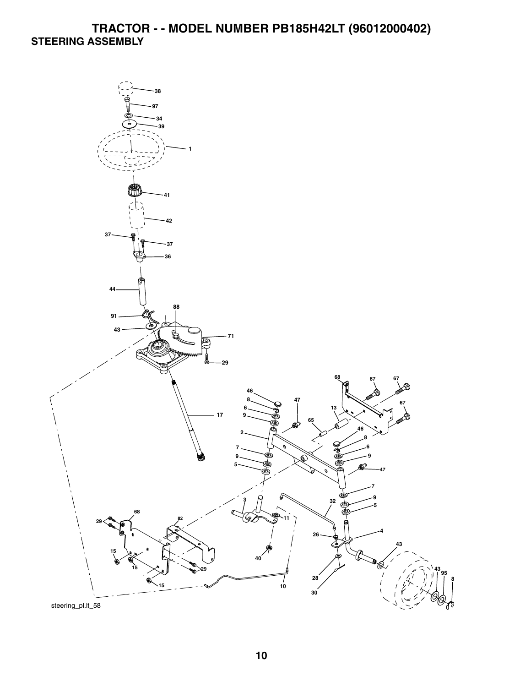# **TRACTOR - - MODEL NUMBER PB185H42LT (96012000402) STEERING ASSEMBLY**

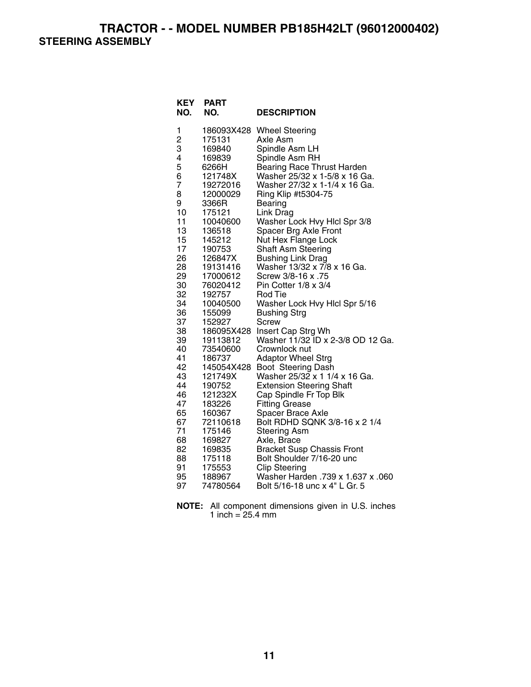**TRACTOR - - MODEL NUMBER PB185H42LT (96012000402) STEERING ASSEMBLY** 

| 1<br>186093X428<br><b>Wheel Steering</b><br>2<br>З<br>175131<br>Axle Asm<br>Spindle Asm LH<br>169840<br>4<br>Spindle Asm RH<br>169839<br>5<br>6266H<br><b>Bearing Race Thrust Harden</b><br>6<br>Washer 25/32 x 1-5/8 x 16 Ga.<br>121748X<br>$\overline{7}$<br>Washer 27/32 x 1-1/4 x 16 Ga.<br>19272016<br>8<br>12000029<br>Ring Klip #t5304-75<br>9<br>3366R<br>Bearing<br>10<br>175121<br>Link Drag<br>11<br>Washer Lock Hvy Hlcl Spr 3/8<br>10040600 |
|----------------------------------------------------------------------------------------------------------------------------------------------------------------------------------------------------------------------------------------------------------------------------------------------------------------------------------------------------------------------------------------------------------------------------------------------------------|
|                                                                                                                                                                                                                                                                                                                                                                                                                                                          |
|                                                                                                                                                                                                                                                                                                                                                                                                                                                          |
|                                                                                                                                                                                                                                                                                                                                                                                                                                                          |
|                                                                                                                                                                                                                                                                                                                                                                                                                                                          |
|                                                                                                                                                                                                                                                                                                                                                                                                                                                          |
|                                                                                                                                                                                                                                                                                                                                                                                                                                                          |
|                                                                                                                                                                                                                                                                                                                                                                                                                                                          |
|                                                                                                                                                                                                                                                                                                                                                                                                                                                          |
|                                                                                                                                                                                                                                                                                                                                                                                                                                                          |
|                                                                                                                                                                                                                                                                                                                                                                                                                                                          |
|                                                                                                                                                                                                                                                                                                                                                                                                                                                          |
| 13<br>Spacer Brg Axle Front<br>136518                                                                                                                                                                                                                                                                                                                                                                                                                    |
| 15<br>Nut Hex Flange Lock<br>145212<br>17                                                                                                                                                                                                                                                                                                                                                                                                                |
| Shaft Asm Steering<br>190753<br>26<br>126847X                                                                                                                                                                                                                                                                                                                                                                                                            |
| <b>Bushing Link Drag</b><br>28<br>Washer 13/32 x 7/8 x 16 Ga.<br>19131416                                                                                                                                                                                                                                                                                                                                                                                |
| 29<br>Screw 3/8-16 x .75<br>17000612                                                                                                                                                                                                                                                                                                                                                                                                                     |
| 30<br>76020412<br>Pin Cotter 1/8 x 3/4                                                                                                                                                                                                                                                                                                                                                                                                                   |
| 32<br>192757<br>Rod Tie                                                                                                                                                                                                                                                                                                                                                                                                                                  |
| 34<br>Washer Lock Hvy Hlcl Spr 5/16<br>10040500                                                                                                                                                                                                                                                                                                                                                                                                          |
| 36<br>155099<br><b>Bushing Strg</b>                                                                                                                                                                                                                                                                                                                                                                                                                      |
| 37<br>152927<br>Screw                                                                                                                                                                                                                                                                                                                                                                                                                                    |
| 38<br>Insert Cap Strg Wh<br>186095X428                                                                                                                                                                                                                                                                                                                                                                                                                   |
| Washer 11/32 ID x 2-3/8 OD 12 Ga.<br>39<br>19113812                                                                                                                                                                                                                                                                                                                                                                                                      |
| 40<br>73540600<br>Crownlock nut                                                                                                                                                                                                                                                                                                                                                                                                                          |
| 41<br><b>Adaptor Wheel Strg</b><br>186737                                                                                                                                                                                                                                                                                                                                                                                                                |
| 42<br>145054X428<br>Boot Steering Dash                                                                                                                                                                                                                                                                                                                                                                                                                   |
| 43<br>Washer 25/32 x 1 1/4 x 16 Ga.<br>121749X                                                                                                                                                                                                                                                                                                                                                                                                           |
| 44<br>190752<br><b>Extension Steering Shaft</b>                                                                                                                                                                                                                                                                                                                                                                                                          |
| 46<br>121232X<br>Cap Spindle Fr Top Blk                                                                                                                                                                                                                                                                                                                                                                                                                  |
| 47<br>183226<br><b>Fitting Grease</b>                                                                                                                                                                                                                                                                                                                                                                                                                    |
| 65<br>160367<br>Spacer Brace Axle                                                                                                                                                                                                                                                                                                                                                                                                                        |
| 67<br>Bolt RDHD SQNK 3/8-16 x 2 1/4<br>72110618                                                                                                                                                                                                                                                                                                                                                                                                          |
| 71<br>175146<br><b>Steering Asm</b>                                                                                                                                                                                                                                                                                                                                                                                                                      |
| 68<br>169827<br>Axle, Brace                                                                                                                                                                                                                                                                                                                                                                                                                              |
| 82<br>169835<br><b>Bracket Susp Chassis Front</b><br>88<br>175118<br>Bolt Shoulder 7/16-20 unc                                                                                                                                                                                                                                                                                                                                                           |
| 91<br>175553<br><b>Clip Steering</b>                                                                                                                                                                                                                                                                                                                                                                                                                     |
| 95<br>Washer Harden .739 x 1.637 x .060<br>188967                                                                                                                                                                                                                                                                                                                                                                                                        |
| Bolt 5/16-18 unc x 4" L Gr. 5<br>97<br>74780564                                                                                                                                                                                                                                                                                                                                                                                                          |

| <b>NOTE:</b> All component dimensions given in U.S. inches |  |  |
|------------------------------------------------------------|--|--|
| 1 inch = $25.4 \text{ mm}$                                 |  |  |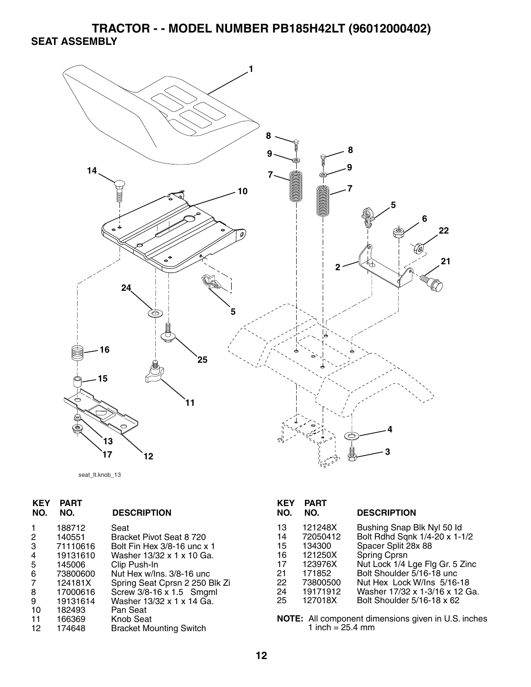**TRACTOR - - MODEL NUMBER PB185H42LT (96012000402) SEAT ASSEMBLY** 



```
seat_lt.knob_13
```

| 13 | 121248X  | Bushing Snap Blk Nyl 50 ld                          |
|----|----------|-----------------------------------------------------|
| 14 | 72050412 | Bolt Rdhd Sqnk 1/4-20 x 1-1/2                       |
| 15 | 134300   | Spacer Split 28x 88                                 |
| 16 | 121250X  | <b>Spring Cprsn</b>                                 |
| 17 | 123976X  | Nut Lock 1/4 Lge Flg Gr. 5 Zinc                     |
| 21 | 171852   | Bolt Shoulder 5/16-18 unc                           |
| 22 | 73800500 | Nut Hex Lock W/Ins 5/16-18                          |
| 24 | 19171912 | Washer 17/32 x 1-3/16 x 12 Ga.                      |
| 25 | 127018X  | Bolt Shoulder 5/16-18 x 62                          |
|    |          |                                                     |
|    |          | NOTE: All component dimensions given in U.S. inches |
|    |          |                                                     |
|    |          | 1 inch = $25.4$ mm                                  |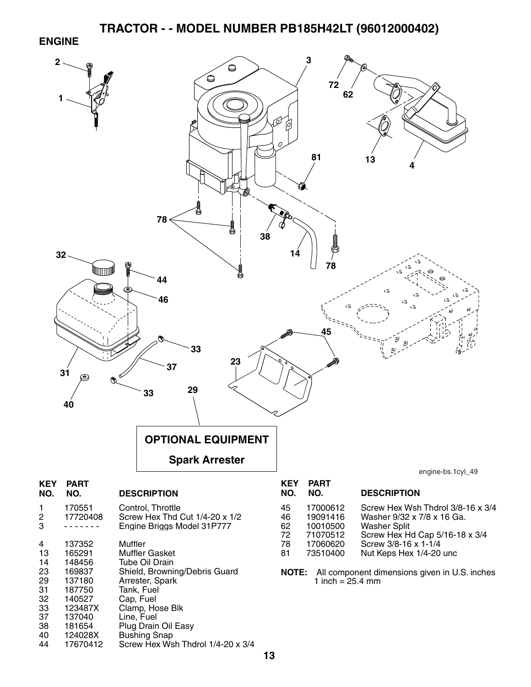#### **ENGINE**

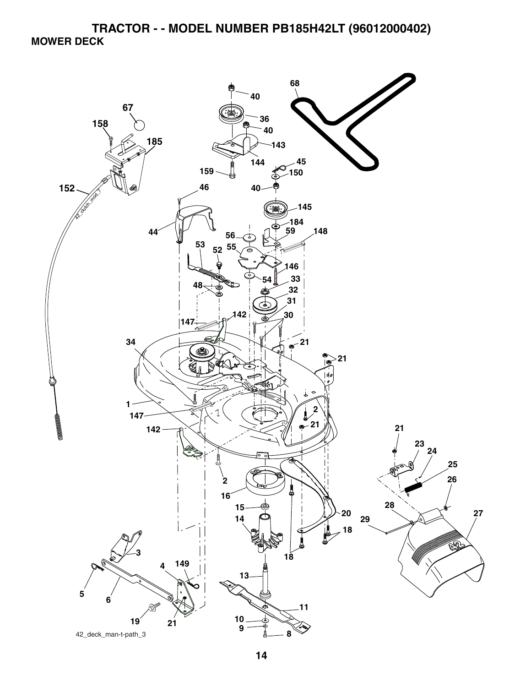**TRACTOR - - MODEL NUMBER PB185H42LT (96012000402) MOWER DECK** 

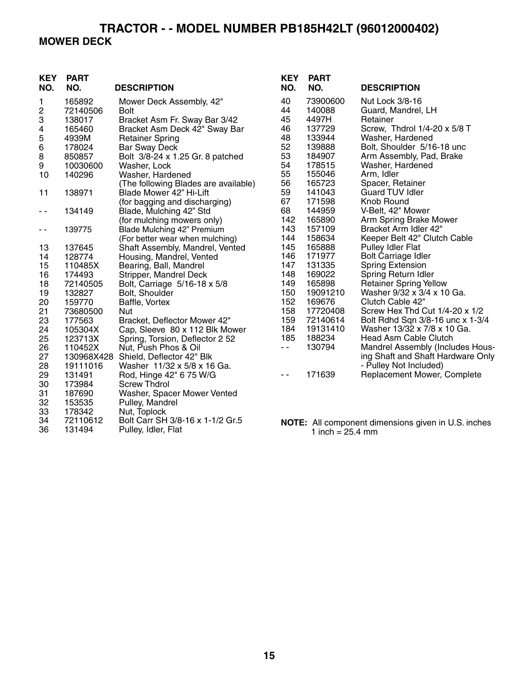# **TRACTOR - - MODEL NUMBER PB185H42LT (96012000402) MOWER DECK**

| <b>KEY</b><br>NO. | <b>PART</b><br>NO. | <b>DESCRIPTION</b>                   | <b>KEY</b><br>NO. | <b>PART</b><br>NO. | <b>DESCRIPTION</b>                                         |
|-------------------|--------------------|--------------------------------------|-------------------|--------------------|------------------------------------------------------------|
| 1                 | 165892             | Mower Deck Assembly, 42"             | 40                | 73900600           | Nut Lock 3/8-16                                            |
| $\sqrt{2}$        | 72140506           | <b>Bolt</b>                          | 44                | 140088             | Guard, Mandrel, LH                                         |
| 3                 | 138017             | Bracket Asm Fr. Sway Bar 3/42        | 45                | 4497H              | Retainer                                                   |
| 4                 | 165460             | Bracket Asm Deck 42" Sway Bar        | 46                | 137729             | Screw, Thdrol 1/4-20 x 5/8 T                               |
| 5                 | 4939M              | <b>Retainer Spring</b>               | 48                | 133944             | Washer, Hardened                                           |
| 6                 | 178024             | <b>Bar Sway Deck</b>                 | 52                | 139888             | Bolt, Shoulder 5/16-18 unc                                 |
| $\,8\,$           | 850857             | Bolt 3/8-24 x 1.25 Gr. 8 patched     | 53                | 184907             | Arm Assembly, Pad, Brake                                   |
| 9                 | 10030600           | Washer, Lock                         | 54                | 178515             | Washer, Hardened                                           |
| 10                | 140296             | Washer, Hardened                     | 55                | 155046             | Arm, Idler                                                 |
|                   |                    | (The following Blades are available) | 56                | 165723             | Spacer, Retainer                                           |
| 11                | 138971             | Blade Mower 42" Hi-Lift              | 59                | 141043             | <b>Guard TUV Idler</b>                                     |
|                   |                    | (for bagging and discharging)        | 67                | 171598             | Knob Round                                                 |
| - -               | 134149             | Blade, Mulching 42" Std              | 68                | 144959             | V-Belt, 42" Mower                                          |
|                   |                    | (for mulching mowers only)           | 142               | 165890             | Arm Spring Brake Mower                                     |
| $ -$              | 139775             | Blade Mulching 42" Premium           | 143               | 157109             | Bracket Arm Idler 42"                                      |
|                   |                    | (For better wear when mulching)      | 144               | 158634             | Keeper Belt 42" Clutch Cable                               |
| 13                | 137645             | Shaft Assembly, Mandrel, Vented      | 145               | 165888             | <b>Pulley Idler Flat</b>                                   |
| 14                | 128774             | Housing, Mandrel, Vented             | 146               | 171977             | <b>Bolt Carriage Idler</b>                                 |
| 15                | 110485X            | Bearing, Ball, Mandrel               | 147               | 131335             | <b>Spring Extension</b>                                    |
| 16                | 174493             | Stripper, Mandrel Deck               | 148               | 169022             | Spring Return Idler                                        |
| 18                | 72140505           | Bolt, Carriage 5/16-18 x 5/8         | 149               | 165898             | <b>Retainer Spring Yellow</b>                              |
| 19                | 132827             | Bolt, Shoulder                       | 150               | 19091210           | Washer 9/32 x 3/4 x 10 Ga.                                 |
| 20                | 159770             | Baffle, Vortex                       | 152               | 169676             | Clutch Cable 42"                                           |
| 21                | 73680500           | Nut                                  | 158               | 17720408           | Screw Hex Thd Cut 1/4-20 x 1/2                             |
| 23                | 177563             | Bracket, Deflector Mower 42"         | 159               | 72140614           | Bolt Rdhd Sqn 3/8-16 unc x 1-3/4                           |
| 24                | 105304X            | Cap, Sleeve 80 x 112 Blk Mower       | 184               | 19131410           | Washer 13/32 x 7/8 x 10 Ga.                                |
| 25                | 123713X            | Spring, Torsion, Deflector 2 52      | 185               | 188234             | Head Asm Cable Clutch                                      |
| 26                | 110452X            | Nut, Push Phos & Oil                 | - -               | 130794             | Mandrel Assembly (Includes Hous-                           |
| 27                |                    | 130968X428 Shield, Deflector 42" Blk |                   |                    | ing Shaft and Shaft Hardware Only                          |
| 28                | 19111016           | Washer 11/32 x 5/8 x 16 Ga.          |                   |                    | - Pulley Not Included)                                     |
| 29                | 131491             | Rod, Hinge 42" 6 75 W/G              | $\sim$ $\sim$     | 171639             | Replacement Mower, Complete                                |
| 30                | 173984             | <b>Screw Thdrol</b>                  |                   |                    |                                                            |
| 31                | 187690             | Washer, Spacer Mower Vented          |                   |                    |                                                            |
| 32                | 153535             | Pulley, Mandrel                      |                   |                    |                                                            |
| 33                | 178342             | Nut, Toplock                         |                   |                    |                                                            |
| 34                | 72110612           | Bolt Carr SH 3/8-16 x 1-1/2 Gr.5     |                   |                    | <b>NOTE:</b> All component dimensions given in U.S. inches |

36 131494 Pulley, Idler, Flat

1 inch = 25.4 mm